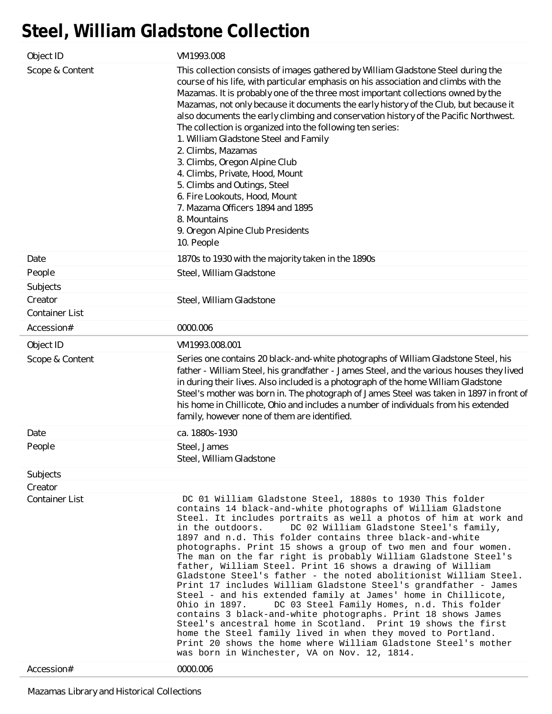## **Steel, William Gladstone Collection**

| Object ID                           | VM1993.008                                                                                                                                                                                                                                                                                                                                                                                                                                                                                                                                                                                                                                                                                                                                                                                                                                                                                                                                                                                                                                                                                                                    |
|-------------------------------------|-------------------------------------------------------------------------------------------------------------------------------------------------------------------------------------------------------------------------------------------------------------------------------------------------------------------------------------------------------------------------------------------------------------------------------------------------------------------------------------------------------------------------------------------------------------------------------------------------------------------------------------------------------------------------------------------------------------------------------------------------------------------------------------------------------------------------------------------------------------------------------------------------------------------------------------------------------------------------------------------------------------------------------------------------------------------------------------------------------------------------------|
| Scope & Content                     | This collection consists of images gathered by William Gladstone Steel during the<br>course of his life, with particular emphasis on his association and climbs with the<br>Mazamas. It is probably one of the three most important collections owned by the<br>Mazamas, not only because it documents the early history of the Club, but because it<br>also documents the early climbing and conservation history of the Pacific Northwest.<br>The collection is organized into the following ten series:<br>1. William Gladstone Steel and Family<br>2. Climbs, Mazamas<br>3. Climbs, Oregon Alpine Club<br>4. Climbs, Private, Hood, Mount<br>5. Climbs and Outings, Steel<br>6. Fire Lookouts, Hood, Mount<br>7. Mazama Officers 1894 and 1895<br>8. Mountains<br>9. Oregon Alpine Club Presidents<br>10. People                                                                                                                                                                                                                                                                                                          |
| Date                                | 1870s to 1930 with the majority taken in the 1890s                                                                                                                                                                                                                                                                                                                                                                                                                                                                                                                                                                                                                                                                                                                                                                                                                                                                                                                                                                                                                                                                            |
| People                              | Steel, William Gladstone                                                                                                                                                                                                                                                                                                                                                                                                                                                                                                                                                                                                                                                                                                                                                                                                                                                                                                                                                                                                                                                                                                      |
| Subjects                            |                                                                                                                                                                                                                                                                                                                                                                                                                                                                                                                                                                                                                                                                                                                                                                                                                                                                                                                                                                                                                                                                                                                               |
| Creator                             | Steel, William Gladstone                                                                                                                                                                                                                                                                                                                                                                                                                                                                                                                                                                                                                                                                                                                                                                                                                                                                                                                                                                                                                                                                                                      |
| <b>Container List</b>               |                                                                                                                                                                                                                                                                                                                                                                                                                                                                                                                                                                                                                                                                                                                                                                                                                                                                                                                                                                                                                                                                                                                               |
| Accession#                          | 0000.006                                                                                                                                                                                                                                                                                                                                                                                                                                                                                                                                                                                                                                                                                                                                                                                                                                                                                                                                                                                                                                                                                                                      |
| Object ID                           | VM1993.008.001                                                                                                                                                                                                                                                                                                                                                                                                                                                                                                                                                                                                                                                                                                                                                                                                                                                                                                                                                                                                                                                                                                                |
| Scope & Content                     | Series one contains 20 black-and-white photographs of William Gladstone Steel, his<br>father - William Steel, his grandfather - James Steel, and the various houses they lived<br>in during their lives. Also included is a photograph of the home William Gladstone<br>Steel's mother was born in. The photograph of James Steel was taken in 1897 in front of<br>his home in Chillicote, Ohio and includes a number of individuals from his extended<br>family, however none of them are identified.                                                                                                                                                                                                                                                                                                                                                                                                                                                                                                                                                                                                                        |
|                                     | ca. 1880s-1930                                                                                                                                                                                                                                                                                                                                                                                                                                                                                                                                                                                                                                                                                                                                                                                                                                                                                                                                                                                                                                                                                                                |
| Date                                |                                                                                                                                                                                                                                                                                                                                                                                                                                                                                                                                                                                                                                                                                                                                                                                                                                                                                                                                                                                                                                                                                                                               |
| People                              | Steel, James<br>Steel, William Gladstone                                                                                                                                                                                                                                                                                                                                                                                                                                                                                                                                                                                                                                                                                                                                                                                                                                                                                                                                                                                                                                                                                      |
| Subjects                            |                                                                                                                                                                                                                                                                                                                                                                                                                                                                                                                                                                                                                                                                                                                                                                                                                                                                                                                                                                                                                                                                                                                               |
| Creator                             |                                                                                                                                                                                                                                                                                                                                                                                                                                                                                                                                                                                                                                                                                                                                                                                                                                                                                                                                                                                                                                                                                                                               |
| <b>Container List</b><br>Accession# | DC 01 William Gladstone Steel, 1880s to 1930 This folder<br>contains 14 black-and-white photographs of William Gladstone<br>Steel. It includes portraits as well a photos of him at work and<br>DC 02 William Gladstone Steel's family,<br>in the outdoors.<br>1897 and n.d. This folder contains three black-and-white<br>photographs. Print 15 shows a group of two men and four women.<br>The man on the far right is probably William Gladstone Steel's<br>father, William Steel. Print 16 shows a drawing of William<br>Gladstone Steel's father - the noted abolitionist William Steel.<br>Print 17 includes William Gladstone Steel's grandfather - James<br>Steel - and his extended family at James' home in Chillicote,<br>DC 03 Steel Family Homes, n.d. This folder<br>Ohio in 1897.<br>contains 3 black-and-white photographs. Print 18 shows James<br>Steel's ancestral home in Scotland. Print 19 shows the first<br>home the Steel family lived in when they moved to Portland.<br>Print 20 shows the home where William Gladstone Steel's mother<br>was born in Winchester, VA on Nov. 12, 1814.<br>0000.006 |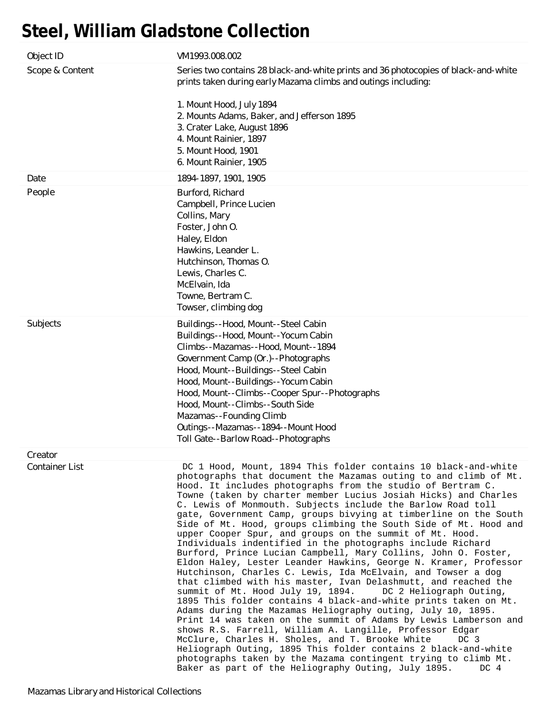## **Steel, William Gladstone Collection**

| Object ID             | VM1993.008.002                                                                                                                                                                                                                                                                                                                                                                                                                                                                                                                                                                                                                                                                                                                                                                                                                                                                                                                                                                                                                                                                                                                                                                                                                                                                                                                                                                                                                                                                |
|-----------------------|-------------------------------------------------------------------------------------------------------------------------------------------------------------------------------------------------------------------------------------------------------------------------------------------------------------------------------------------------------------------------------------------------------------------------------------------------------------------------------------------------------------------------------------------------------------------------------------------------------------------------------------------------------------------------------------------------------------------------------------------------------------------------------------------------------------------------------------------------------------------------------------------------------------------------------------------------------------------------------------------------------------------------------------------------------------------------------------------------------------------------------------------------------------------------------------------------------------------------------------------------------------------------------------------------------------------------------------------------------------------------------------------------------------------------------------------------------------------------------|
| Scope & Content       | Series two contains 28 black-and-white prints and 36 photocopies of black-and-white<br>prints taken during early Mazama climbs and outings including:<br>1. Mount Hood, July 1894<br>2. Mounts Adams, Baker, and Jefferson 1895<br>3. Crater Lake, August 1896<br>4. Mount Rainier, 1897<br>5. Mount Hood, 1901<br>6. Mount Rainier, 1905                                                                                                                                                                                                                                                                                                                                                                                                                                                                                                                                                                                                                                                                                                                                                                                                                                                                                                                                                                                                                                                                                                                                     |
| Date                  | 1894-1897, 1901, 1905                                                                                                                                                                                                                                                                                                                                                                                                                                                                                                                                                                                                                                                                                                                                                                                                                                                                                                                                                                                                                                                                                                                                                                                                                                                                                                                                                                                                                                                         |
| People                | Burford, Richard<br>Campbell, Prince Lucien<br>Collins, Mary<br>Foster, John O.<br>Haley, Eldon<br>Hawkins, Leander L.<br>Hutchinson, Thomas O.<br>Lewis, Charles C.<br>McElvain, Ida<br>Towne, Bertram C.<br>Towser, climbing dog                                                                                                                                                                                                                                                                                                                                                                                                                                                                                                                                                                                                                                                                                                                                                                                                                                                                                                                                                                                                                                                                                                                                                                                                                                            |
| Subjects              | Buildings--Hood, Mount--Steel Cabin<br>Buildings--Hood, Mount--Yocum Cabin<br>Climbs--Mazamas--Hood, Mount--1894<br>Government Camp (Or.)--Photographs<br>Hood, Mount--Buildings--Steel Cabin<br>Hood, Mount--Buildings--Yocum Cabin<br>Hood, Mount--Climbs--Cooper Spur--Photographs<br>Hood, Mount--Climbs--South Side<br>Mazamas--Founding Climb<br>Outings--Mazamas--1894--Mount Hood<br>Toll Gate--Barlow Road--Photographs                                                                                                                                                                                                                                                                                                                                                                                                                                                                                                                                                                                                                                                                                                                                                                                                                                                                                                                                                                                                                                              |
| Creator               |                                                                                                                                                                                                                                                                                                                                                                                                                                                                                                                                                                                                                                                                                                                                                                                                                                                                                                                                                                                                                                                                                                                                                                                                                                                                                                                                                                                                                                                                               |
| <b>Container List</b> | DC 1 Hood, Mount, 1894 This folder contains 10 black-and-white<br>photographs that document the Mazamas outing to and climb of Mt.<br>Hood. It includes photographs from the studio of Bertram C.<br>Towne (taken by charter member Lucius Josiah Hicks) and Charles<br>C. Lewis of Monmouth. Subjects include the Barlow Road toll<br>gate, Government Camp, groups bivying at timberline on the South<br>Side of Mt. Hood, groups climbing the South Side of Mt. Hood and<br>upper Cooper Spur, and groups on the summit of Mt. Hood.<br>Individuals indentified in the photographs include Richard<br>Burford, Prince Lucian Campbell, Mary Collins, John O. Foster,<br>Eldon Haley, Lester Leander Hawkins, George N. Kramer, Professor<br>Hutchinson, Charles C. Lewis, Ida McElvain, and Towser a dog<br>that climbed with his master, Ivan Delashmutt, and reached the<br>summit of Mt. Hood July 19, 1894.<br>DC 2 Heliograph Outing,<br>1895 This folder contains 4 black-and-white prints taken on Mt.<br>Adams during the Mazamas Heliography outing, July 10, 1895.<br>Print 14 was taken on the summit of Adams by Lewis Lamberson and<br>shows R.S. Farrell, William A. Langille, Professor Edgar<br>McClure, Charles H. Sholes, and T. Brooke White<br>DC 3<br>Heliograph Outing, 1895 This folder contains 2 black-and-white<br>photographs taken by the Mazama contingent trying to climb Mt.<br>Baker as part of the Heliography Outing, July 1895.<br>DC 4 |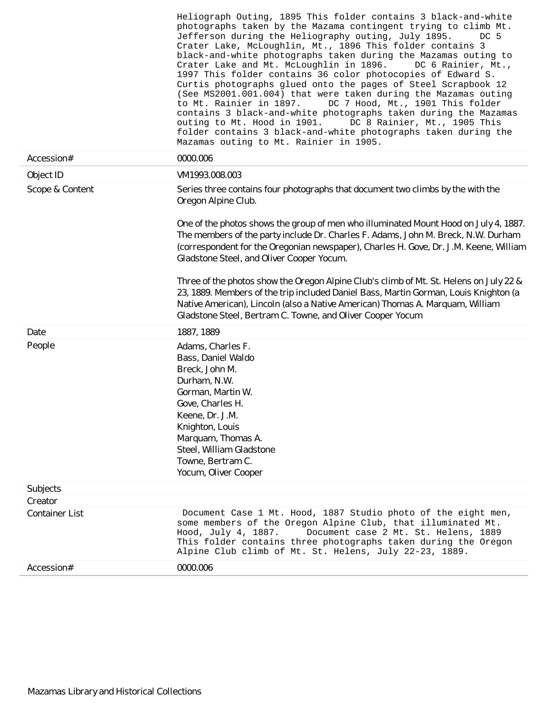|                                  | Heliograph Outing, 1895 This folder contains 3 black-and-white<br>photographs taken by the Mazama contingent trying to climb Mt.<br>Jefferson during the Heliography outing, July 1895.<br>DC 5<br>Crater Lake, McLoughlin, Mt., 1896 This folder contains 3<br>black-and-white photographs taken during the Mazamas outing to<br>Crater Lake and Mt. McLoughlin in 1896.<br>DC 6 Rainier, Mt.,<br>1997 This folder contains 36 color photocopies of Edward S.<br>Curtis photographs glued onto the pages of Steel Scrapbook 12<br>(See MS2001.001.004) that were taken during the Mazamas outing<br>DC 7 Hood, Mt., 1901 This folder<br>to Mt. Rainier in 1897.<br>contains 3 black-and-white photographs taken during the Mazamas<br>outing to Mt. Hood in 1901. DC 8 Rainier, Mt., 1905 This<br>folder contains 3 black-and-white photographs taken during the<br>Mazamas outing to Mt. Rainier in 1905. |
|----------------------------------|-------------------------------------------------------------------------------------------------------------------------------------------------------------------------------------------------------------------------------------------------------------------------------------------------------------------------------------------------------------------------------------------------------------------------------------------------------------------------------------------------------------------------------------------------------------------------------------------------------------------------------------------------------------------------------------------------------------------------------------------------------------------------------------------------------------------------------------------------------------------------------------------------------------|
| Accession#                       | 0000.006                                                                                                                                                                                                                                                                                                                                                                                                                                                                                                                                                                                                                                                                                                                                                                                                                                                                                                    |
| Object ID                        | VM1993.008.003                                                                                                                                                                                                                                                                                                                                                                                                                                                                                                                                                                                                                                                                                                                                                                                                                                                                                              |
| Scope & Content                  | Series three contains four photographs that document two climbs by the with the<br>Oregon Alpine Club.                                                                                                                                                                                                                                                                                                                                                                                                                                                                                                                                                                                                                                                                                                                                                                                                      |
|                                  | One of the photos shows the group of men who illuminated Mount Hood on July 4, 1887.<br>The members of the party include Dr. Charles F. Adams, John M. Breck, N.W. Durham<br>(correspondent for the Oregonian newspaper), Charles H. Gove, Dr. J.M. Keene, William<br>Gladstone Steel, and Oliver Cooper Yocum.                                                                                                                                                                                                                                                                                                                                                                                                                                                                                                                                                                                             |
|                                  | Three of the photos show the Oregon Alpine Club's climb of Mt. St. Helens on July 22 &<br>23, 1889. Members of the trip included Daniel Bass, Martin Gorman, Louis Knighton (a<br>Native American), Lincoln (also a Native American) Thomas A. Marquam, William<br>Gladstone Steel, Bertram C. Towne, and Oliver Cooper Yocum                                                                                                                                                                                                                                                                                                                                                                                                                                                                                                                                                                               |
| Date                             | 1887, 1889                                                                                                                                                                                                                                                                                                                                                                                                                                                                                                                                                                                                                                                                                                                                                                                                                                                                                                  |
| People                           | Adams, Charles F.<br>Bass, Daniel Waldo<br>Breck, John M.<br>Durham, N.W.<br>Gorman, Martin W.<br>Gove, Charles H.<br>Keene, Dr. J.M.<br>Knighton, Louis<br>Marquam, Thomas A.<br>Steel, William Gladstone<br>Towne, Bertram C.<br>Yocum, Oliver Cooper                                                                                                                                                                                                                                                                                                                                                                                                                                                                                                                                                                                                                                                     |
| Subjects                         |                                                                                                                                                                                                                                                                                                                                                                                                                                                                                                                                                                                                                                                                                                                                                                                                                                                                                                             |
| Creator<br><b>Container List</b> | Document Case 1 Mt. Hood, 1887 Studio photo of the eight men,                                                                                                                                                                                                                                                                                                                                                                                                                                                                                                                                                                                                                                                                                                                                                                                                                                               |
|                                  | some members of the Oregon Alpine Club, that illuminated Mt.<br>Document case 2 Mt. St. Helens, 1889<br>Hood, July 4, 1887.<br>This folder contains three photographs taken during the Oregon<br>Alpine Club climb of Mt. St. Helens, July 22-23, 1889.                                                                                                                                                                                                                                                                                                                                                                                                                                                                                                                                                                                                                                                     |
| Accession#                       | 0000.006                                                                                                                                                                                                                                                                                                                                                                                                                                                                                                                                                                                                                                                                                                                                                                                                                                                                                                    |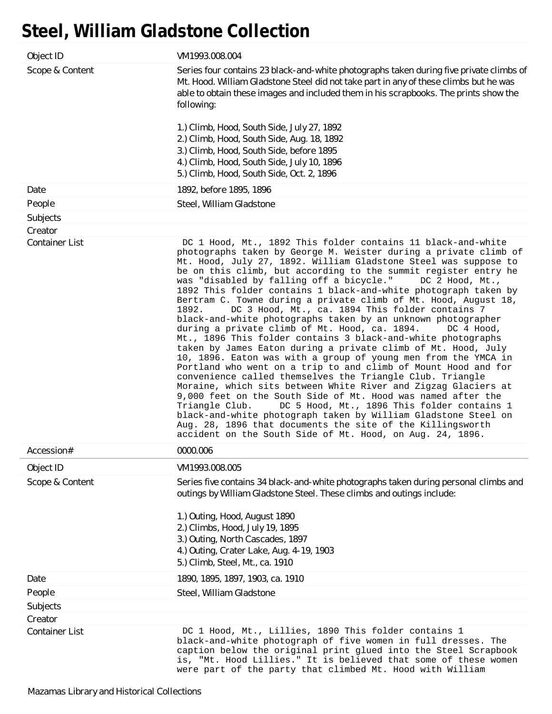## **Steel, William Gladstone Collection**

| Object ID             | VM1993.008.004                                                                                                                                                                                                                                                                                                                                                                                                                                                                                                                                                                                                                                                                                                                                                                                                                                                                                                                                                                                                                                                                                                                                                                                                                                                                                                                                                                                           |
|-----------------------|----------------------------------------------------------------------------------------------------------------------------------------------------------------------------------------------------------------------------------------------------------------------------------------------------------------------------------------------------------------------------------------------------------------------------------------------------------------------------------------------------------------------------------------------------------------------------------------------------------------------------------------------------------------------------------------------------------------------------------------------------------------------------------------------------------------------------------------------------------------------------------------------------------------------------------------------------------------------------------------------------------------------------------------------------------------------------------------------------------------------------------------------------------------------------------------------------------------------------------------------------------------------------------------------------------------------------------------------------------------------------------------------------------|
| Scope & Content       | Series four contains 23 black-and-white photographs taken during five private climbs of<br>Mt. Hood. William Gladstone Steel did not take part in any of these climbs but he was<br>able to obtain these images and included them in his scrapbooks. The prints show the<br>following:<br>1.) Climb, Hood, South Side, July 27, 1892                                                                                                                                                                                                                                                                                                                                                                                                                                                                                                                                                                                                                                                                                                                                                                                                                                                                                                                                                                                                                                                                     |
|                       | 2.) Climb, Hood, South Side, Aug. 18, 1892<br>3.) Climb, Hood, South Side, before 1895<br>4.) Climb, Hood, South Side, July 10, 1896<br>5.) Climb, Hood, South Side, Oct. 2, 1896                                                                                                                                                                                                                                                                                                                                                                                                                                                                                                                                                                                                                                                                                                                                                                                                                                                                                                                                                                                                                                                                                                                                                                                                                        |
| Date                  | 1892, before 1895, 1896                                                                                                                                                                                                                                                                                                                                                                                                                                                                                                                                                                                                                                                                                                                                                                                                                                                                                                                                                                                                                                                                                                                                                                                                                                                                                                                                                                                  |
| People                | Steel, William Gladstone                                                                                                                                                                                                                                                                                                                                                                                                                                                                                                                                                                                                                                                                                                                                                                                                                                                                                                                                                                                                                                                                                                                                                                                                                                                                                                                                                                                 |
| Subjects              |                                                                                                                                                                                                                                                                                                                                                                                                                                                                                                                                                                                                                                                                                                                                                                                                                                                                                                                                                                                                                                                                                                                                                                                                                                                                                                                                                                                                          |
| Creator               |                                                                                                                                                                                                                                                                                                                                                                                                                                                                                                                                                                                                                                                                                                                                                                                                                                                                                                                                                                                                                                                                                                                                                                                                                                                                                                                                                                                                          |
| <b>Container List</b> | DC 1 Hood, Mt., 1892 This folder contains 11 black-and-white<br>photographs taken by George M. Weister during a private climb of<br>Mt. Hood, July 27, 1892. William Gladstone Steel was suppose to<br>be on this climb, but according to the summit register entry he<br>was "disabled by falling off a bicycle."<br>DC 2 Hood, Mt.,<br>1892 This folder contains 1 black-and-white photograph taken by<br>Bertram C. Towne during a private climb of Mt. Hood, August 18,<br>1892.<br>DC 3 Hood, Mt., ca. 1894 This folder contains 7<br>black-and-white photographs taken by an unknown photographer<br>during a private climb of Mt. Hood, ca. 1894.<br>DC 4 Hood,<br>Mt., 1896 This folder contains 3 black-and-white photographs<br>taken by James Eaton during a private climb of Mt. Hood, July<br>10, 1896. Eaton was with a group of young men from the YMCA in<br>Portland who went on a trip to and climb of Mount Hood and for<br>convenience called themselves the Triangle Club. Triangle<br>Moraine, which sits between White River and Zigzag Glaciers at<br>9,000 feet on the South Side of Mt. Hood was named after the<br>DC 5 Hood, Mt., 1896 This folder contains 1<br>Triangle Club.<br>black-and-white photograph taken by William Gladstone Steel on<br>Aug. 28, 1896 that documents the site of the Killingsworth<br>accident on the South Side of Mt. Hood, on Aug. 24, 1896. |
| Accession#            | 0000.006                                                                                                                                                                                                                                                                                                                                                                                                                                                                                                                                                                                                                                                                                                                                                                                                                                                                                                                                                                                                                                                                                                                                                                                                                                                                                                                                                                                                 |
| Object ID             | VM1993.008.005                                                                                                                                                                                                                                                                                                                                                                                                                                                                                                                                                                                                                                                                                                                                                                                                                                                                                                                                                                                                                                                                                                                                                                                                                                                                                                                                                                                           |
| Scope & Content       | Series five contains 34 black-and-white photographs taken during personal climbs and<br>outings by William Gladstone Steel. These climbs and outings include:                                                                                                                                                                                                                                                                                                                                                                                                                                                                                                                                                                                                                                                                                                                                                                                                                                                                                                                                                                                                                                                                                                                                                                                                                                            |
|                       | 1.) Outing, Hood, August 1890<br>2.) Climbs, Hood, July 19, 1895<br>3.) Outing, North Cascades, 1897<br>4.) Outing, Crater Lake, Aug. 4-19, 1903<br>5.) Climb, Steel, Mt., ca. 1910                                                                                                                                                                                                                                                                                                                                                                                                                                                                                                                                                                                                                                                                                                                                                                                                                                                                                                                                                                                                                                                                                                                                                                                                                      |
| Date                  | 1890, 1895, 1897, 1903, ca. 1910                                                                                                                                                                                                                                                                                                                                                                                                                                                                                                                                                                                                                                                                                                                                                                                                                                                                                                                                                                                                                                                                                                                                                                                                                                                                                                                                                                         |
| People                | Steel, William Gladstone                                                                                                                                                                                                                                                                                                                                                                                                                                                                                                                                                                                                                                                                                                                                                                                                                                                                                                                                                                                                                                                                                                                                                                                                                                                                                                                                                                                 |
| Subjects              |                                                                                                                                                                                                                                                                                                                                                                                                                                                                                                                                                                                                                                                                                                                                                                                                                                                                                                                                                                                                                                                                                                                                                                                                                                                                                                                                                                                                          |
| Creator               |                                                                                                                                                                                                                                                                                                                                                                                                                                                                                                                                                                                                                                                                                                                                                                                                                                                                                                                                                                                                                                                                                                                                                                                                                                                                                                                                                                                                          |
| <b>Container List</b> | DC 1 Hood, Mt., Lillies, 1890 This folder contains 1<br>black-and-white photograph of five women in full dresses. The<br>caption below the original print glued into the Steel Scrapbook<br>is, "Mt. Hood Lillies." It is believed that some of these women<br>were part of the party that climbed Mt. Hood with William                                                                                                                                                                                                                                                                                                                                                                                                                                                                                                                                                                                                                                                                                                                                                                                                                                                                                                                                                                                                                                                                                 |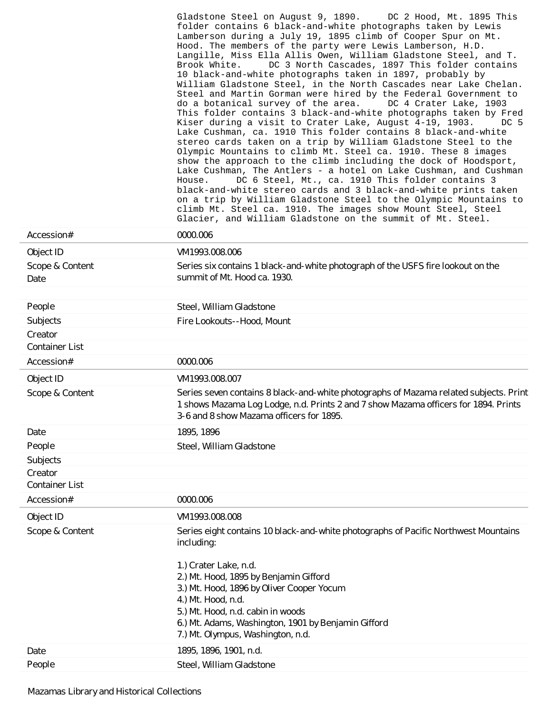|                                  | Gladstone Steel on August 9, 1890.<br>DC 2 Hood, Mt. 1895 This<br>folder contains 6 black-and-white photographs taken by Lewis<br>Lamberson during a July 19, 1895 climb of Cooper Spur on Mt.<br>Hood. The members of the party were Lewis Lamberson, H.D.<br>Langille, Miss Ella Allis Owen, William Gladstone Steel, and T.<br>DC 3 North Cascades, 1897 This folder contains<br>Brook White.<br>10 black-and-white photographs taken in 1897, probably by<br>William Gladstone Steel, in the North Cascades near Lake Chelan.<br>Steel and Martin Gorman were hired by the Federal Government to<br>do a botanical survey of the area.<br>DC 4 Crater Lake, 1903<br>This folder contains 3 black-and-white photographs taken by Fred<br>Kiser during a visit to Crater Lake, August 4-19, 1903.<br>DC 5<br>Lake Cushman, ca. 1910 This folder contains 8 black-and-white<br>stereo cards taken on a trip by William Gladstone Steel to the<br>Olympic Mountains to climb Mt. Steel ca. 1910. These 8 images<br>show the approach to the climb including the dock of Hoodsport,<br>Lake Cushman, The Antlers - a hotel on Lake Cushman, and Cushman<br>DC 6 Steel, Mt., ca. 1910 This folder contains 3<br>House.<br>black-and-white stereo cards and 3 black-and-white prints taken<br>on a trip by William Gladstone Steel to the Olympic Mountains to<br>climb Mt. Steel ca. 1910. The images show Mount Steel, Steel<br>Glacier, and William Gladstone on the summit of Mt. Steel. |
|----------------------------------|-------------------------------------------------------------------------------------------------------------------------------------------------------------------------------------------------------------------------------------------------------------------------------------------------------------------------------------------------------------------------------------------------------------------------------------------------------------------------------------------------------------------------------------------------------------------------------------------------------------------------------------------------------------------------------------------------------------------------------------------------------------------------------------------------------------------------------------------------------------------------------------------------------------------------------------------------------------------------------------------------------------------------------------------------------------------------------------------------------------------------------------------------------------------------------------------------------------------------------------------------------------------------------------------------------------------------------------------------------------------------------------------------------------------------------------------------------------------------------------------|
| Accession#                       | 0000.006                                                                                                                                                                                                                                                                                                                                                                                                                                                                                                                                                                                                                                                                                                                                                                                                                                                                                                                                                                                                                                                                                                                                                                                                                                                                                                                                                                                                                                                                                  |
| Object ID                        | VM1993.008.006                                                                                                                                                                                                                                                                                                                                                                                                                                                                                                                                                                                                                                                                                                                                                                                                                                                                                                                                                                                                                                                                                                                                                                                                                                                                                                                                                                                                                                                                            |
| Scope & Content                  | Series six contains 1 black-and-white photograph of the USFS fire lookout on the<br>summit of Mt. Hood ca. 1930.                                                                                                                                                                                                                                                                                                                                                                                                                                                                                                                                                                                                                                                                                                                                                                                                                                                                                                                                                                                                                                                                                                                                                                                                                                                                                                                                                                          |
| Date                             |                                                                                                                                                                                                                                                                                                                                                                                                                                                                                                                                                                                                                                                                                                                                                                                                                                                                                                                                                                                                                                                                                                                                                                                                                                                                                                                                                                                                                                                                                           |
| People                           | Steel, William Gladstone                                                                                                                                                                                                                                                                                                                                                                                                                                                                                                                                                                                                                                                                                                                                                                                                                                                                                                                                                                                                                                                                                                                                                                                                                                                                                                                                                                                                                                                                  |
| Subjects                         | Fire Lookouts--Hood, Mount                                                                                                                                                                                                                                                                                                                                                                                                                                                                                                                                                                                                                                                                                                                                                                                                                                                                                                                                                                                                                                                                                                                                                                                                                                                                                                                                                                                                                                                                |
| Creator                          |                                                                                                                                                                                                                                                                                                                                                                                                                                                                                                                                                                                                                                                                                                                                                                                                                                                                                                                                                                                                                                                                                                                                                                                                                                                                                                                                                                                                                                                                                           |
| <b>Container List</b>            |                                                                                                                                                                                                                                                                                                                                                                                                                                                                                                                                                                                                                                                                                                                                                                                                                                                                                                                                                                                                                                                                                                                                                                                                                                                                                                                                                                                                                                                                                           |
| Accession#                       | 0000.006                                                                                                                                                                                                                                                                                                                                                                                                                                                                                                                                                                                                                                                                                                                                                                                                                                                                                                                                                                                                                                                                                                                                                                                                                                                                                                                                                                                                                                                                                  |
| Object ID                        | VM1993.008.007                                                                                                                                                                                                                                                                                                                                                                                                                                                                                                                                                                                                                                                                                                                                                                                                                                                                                                                                                                                                                                                                                                                                                                                                                                                                                                                                                                                                                                                                            |
| Scope & Content                  | Series seven contains 8 black-and-white photographs of Mazama related subjects. Print<br>1 shows Mazama Log Lodge, n.d. Prints 2 and 7 show Mazama officers for 1894. Prints<br>3-6 and 8 show Mazama officers for 1895.                                                                                                                                                                                                                                                                                                                                                                                                                                                                                                                                                                                                                                                                                                                                                                                                                                                                                                                                                                                                                                                                                                                                                                                                                                                                  |
| Date                             | 1895, 1896                                                                                                                                                                                                                                                                                                                                                                                                                                                                                                                                                                                                                                                                                                                                                                                                                                                                                                                                                                                                                                                                                                                                                                                                                                                                                                                                                                                                                                                                                |
| People                           | Steel, William Gladstone                                                                                                                                                                                                                                                                                                                                                                                                                                                                                                                                                                                                                                                                                                                                                                                                                                                                                                                                                                                                                                                                                                                                                                                                                                                                                                                                                                                                                                                                  |
| Subjects                         |                                                                                                                                                                                                                                                                                                                                                                                                                                                                                                                                                                                                                                                                                                                                                                                                                                                                                                                                                                                                                                                                                                                                                                                                                                                                                                                                                                                                                                                                                           |
| Creator<br><b>Container List</b> |                                                                                                                                                                                                                                                                                                                                                                                                                                                                                                                                                                                                                                                                                                                                                                                                                                                                                                                                                                                                                                                                                                                                                                                                                                                                                                                                                                                                                                                                                           |
| Accession#                       | 0000.006                                                                                                                                                                                                                                                                                                                                                                                                                                                                                                                                                                                                                                                                                                                                                                                                                                                                                                                                                                                                                                                                                                                                                                                                                                                                                                                                                                                                                                                                                  |
|                                  | VM1993.008.008                                                                                                                                                                                                                                                                                                                                                                                                                                                                                                                                                                                                                                                                                                                                                                                                                                                                                                                                                                                                                                                                                                                                                                                                                                                                                                                                                                                                                                                                            |
| Object ID<br>Scope & Content     | Series eight contains 10 black-and-white photographs of Pacific Northwest Mountains                                                                                                                                                                                                                                                                                                                                                                                                                                                                                                                                                                                                                                                                                                                                                                                                                                                                                                                                                                                                                                                                                                                                                                                                                                                                                                                                                                                                       |
|                                  | including:<br>1.) Crater Lake, n.d.<br>2.) Mt. Hood, 1895 by Benjamin Gifford<br>3.) Mt. Hood, 1896 by Oliver Cooper Yocum<br>4.) Mt. Hood, n.d.<br>5.) Mt. Hood, n.d. cabin in woods<br>6.) Mt. Adams, Washington, 1901 by Benjamin Gifford<br>7.) Mt. Olympus, Washington, n.d.                                                                                                                                                                                                                                                                                                                                                                                                                                                                                                                                                                                                                                                                                                                                                                                                                                                                                                                                                                                                                                                                                                                                                                                                         |
| Date                             | 1895, 1896, 1901, n.d.                                                                                                                                                                                                                                                                                                                                                                                                                                                                                                                                                                                                                                                                                                                                                                                                                                                                                                                                                                                                                                                                                                                                                                                                                                                                                                                                                                                                                                                                    |
| People                           | Steel, William Gladstone                                                                                                                                                                                                                                                                                                                                                                                                                                                                                                                                                                                                                                                                                                                                                                                                                                                                                                                                                                                                                                                                                                                                                                                                                                                                                                                                                                                                                                                                  |